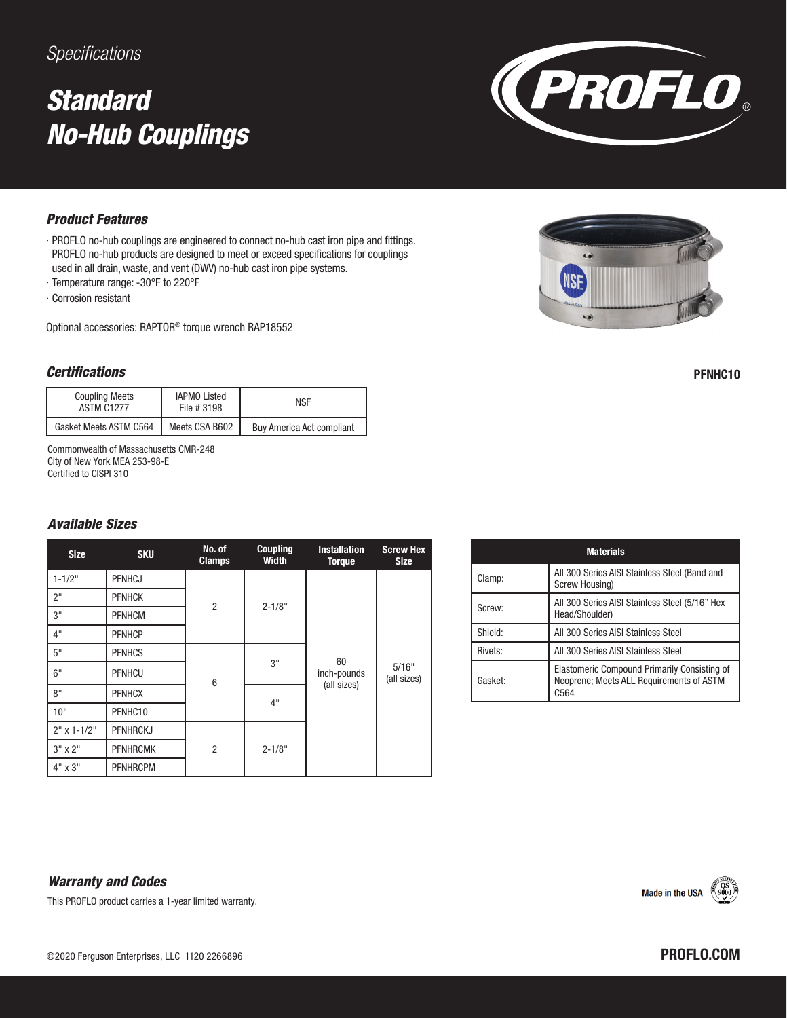### *Specifications*

## *Standard No-Hub Couplings*



#### *Product Features*

- ∙ PROFLO no-hub couplings are engineered to connect no-hub cast iron pipe and fittings. PROFLO no-hub products are designed to meet or exceed specifications for couplings used in all drain, waste, and vent (DWV) no-hub cast iron pipe systems.
- ∙ Temperature range: -30°F to 220°F
- ∙ Corrosion resistant

Optional accessories: RAPTOR® torque wrench RAP18552

#### *Certifications*

| <b>Coupling Meets</b><br><b>ASTM C1277</b> | <b>IAPMO Listed</b><br>File # 3198 | <b>NSF</b>                       |
|--------------------------------------------|------------------------------------|----------------------------------|
| Gasket Meets ASTM C564                     | Meets CSA B602                     | <b>Buy America Act compliant</b> |

Commonwealth of Massachusetts CMR-248 City of New York MEA 253-98-E Certified to CISPI 310

#### *Available Sizes*

| <b>Size</b>     | <b>SKU</b>      | No. of<br><b>Clamps</b> | <b>Coupling</b><br><b>Width</b> | <b>Installation</b><br><b>Torque</b> | <b>Screw Hex</b><br><b>Size</b> |
|-----------------|-----------------|-------------------------|---------------------------------|--------------------------------------|---------------------------------|
| $1 - 1/2"$      | <b>PFNHCJ</b>   | $\overline{2}$          | $2 - 1/8"$                      |                                      |                                 |
| 2 <sup>11</sup> | <b>PFNHCK</b>   |                         |                                 |                                      |                                 |
| 3"              | <b>PFNHCM</b>   |                         |                                 |                                      |                                 |
| 4"              | <b>PFNHCP</b>   |                         |                                 | 60<br>inch-pounds<br>(all sizes)     | 5/16"<br>(all sizes)            |
| 5"              | <b>PFNHCS</b>   | 6                       | 3"<br>4"                        |                                      |                                 |
| 6"              | PFNHCU          |                         |                                 |                                      |                                 |
| 8"              | <b>PFNHCX</b>   |                         |                                 |                                      |                                 |
| 10"             | PFNHC10         |                         |                                 |                                      |                                 |
| $2"$ x 1-1/2"   | <b>PFNHRCKJ</b> |                         |                                 |                                      |                                 |
| $3"$ x $2"$     | <b>PFNHRCMK</b> | $\overline{2}$          | $2 - 1/8"$                      |                                      |                                 |
| $4" \times 3"$  | <b>PFNHRCPM</b> |                         |                                 |                                      |                                 |

| <b>Materials</b> |                                                                                                   |  |  |  |
|------------------|---------------------------------------------------------------------------------------------------|--|--|--|
| Clamp:           | All 300 Series AISI Stainless Steel (Band and<br>Screw Housing)                                   |  |  |  |
| Screw:           | All 300 Series AISI Stainless Steel (5/16" Hex<br>Head/Shoulder)                                  |  |  |  |
| Shield:          | All 300 Series AISI Stainless Steel                                                               |  |  |  |
| Rivets:          | All 300 Series AISI Stainless Steel                                                               |  |  |  |
| Gasket:          | Elastomeric Compound Primarily Consisting of<br>Neoprene; Meets ALL Requirements of ASTM<br>r.564 |  |  |  |

#### *Warranty and Codes*

This PROFLO product carries a 1-year limited warranty.





PFNHC10